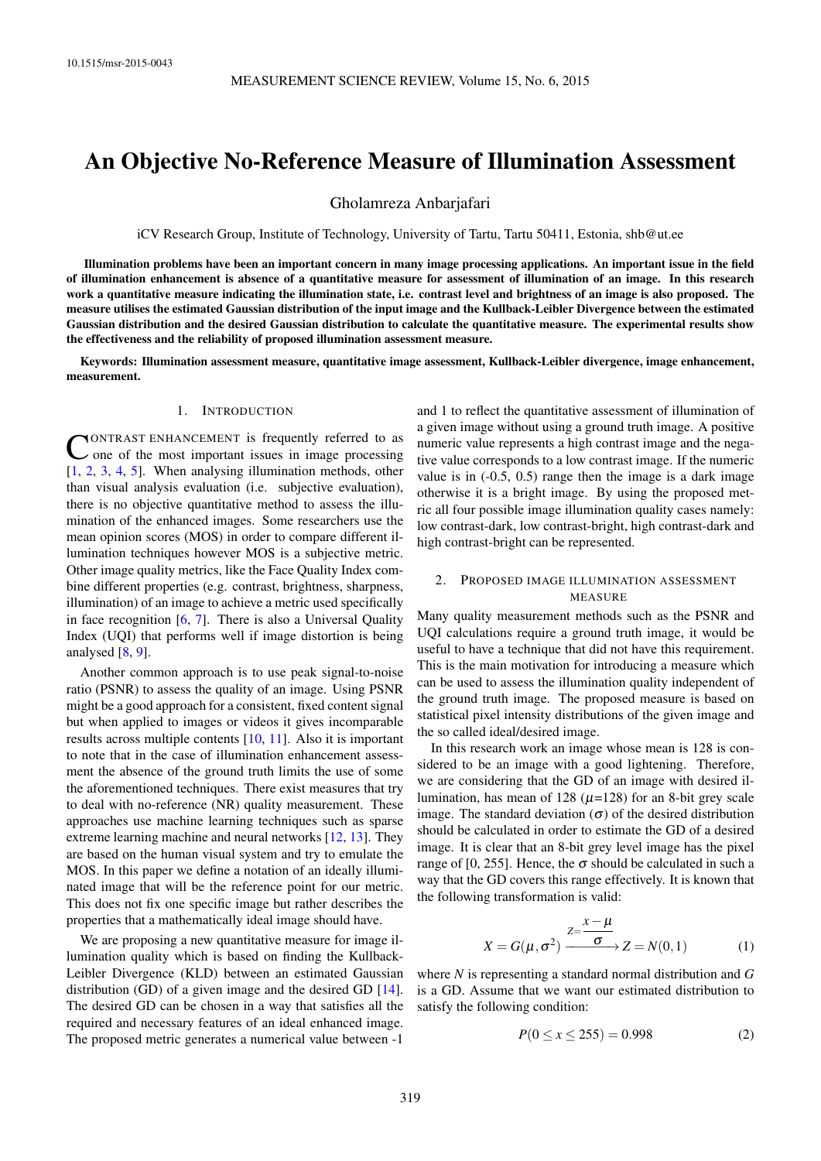# An Objective No-Reference Measure of Illumination Assessment

Gholamreza Anbarjafari

iCV Research Group, Institute of Technology, University of Tartu, Tartu 50411, Estonia, [shb@ut.ee](mailto:shb@ut.ee)

Illumination problems have been an important concern in many image processing applications. An important issue in the field of illumination enhancement is absence of a quantitative measure for assessment of illumination of an image. In this research work a quantitative measure indicating the illumination state, i.e. contrast level and brightness of an image is also proposed. The measure utilises the estimated Gaussian distribution of the input image and the Kullback-Leibler Divergence between the estimated Gaussian distribution and the desired Gaussian distribution to calculate the quantitative measure. The experimental results show the effectiveness and the reliability of proposed illumination assessment measure.

Keywords: Illumination assessment measure, quantitative image assessment, Kullback-Leibler divergence, image enhancement, measurement.

## 1. INTRODUCTION

**CONTRAST ENHANCEMENT** is frequently referred to as<br>one of the most important issues in image processing ONTRAST ENHANCEMENT is frequently referred to as [\[1,](#page-2-0) [2,](#page-2-1) [3,](#page-2-2) [4,](#page-2-3) [5\]](#page-2-4). When analysing illumination methods, other than visual analysis evaluation (i.e. subjective evaluation), there is no objective quantitative method to assess the illumination of the enhanced images. Some researchers use the mean opinion scores (MOS) in order to compare different illumination techniques however MOS is a subjective metric. Other image quality metrics, like the Face Quality Index combine different properties (e.g. contrast, brightness, sharpness, illumination) of an image to achieve a metric used specifically in face recognition  $[6, 7]$  $[6, 7]$  $[6, 7]$ . There is also a Universal Quality Index (UQI) that performs well if image distortion is being analysed [\[8,](#page-3-1) [9\]](#page-3-2).

Another common approach is to use peak signal-to-noise ratio (PSNR) to assess the quality of an image. Using PSNR might be a good approach for a consistent, fixed content signal but when applied to images or videos it gives incomparable results across multiple contents [\[10,](#page-3-3) [11\]](#page-3-4). Also it is important to note that in the case of illumination enhancement assessment the absence of the ground truth limits the use of some the aforementioned techniques. There exist measures that try to deal with no-reference (NR) quality measurement. These approaches use machine learning techniques such as sparse extreme learning machine and neural networks [\[12,](#page-3-5) [13\]](#page-3-6). They are based on the human visual system and try to emulate the MOS. In this paper we define a notation of an ideally illuminated image that will be the reference point for our metric. This does not fix one specific image but rather describes the properties that a mathematically ideal image should have.

We are proposing a new quantitative measure for image illumination quality which is based on finding the Kullback-Leibler Divergence (KLD) between an estimated Gaussian distribution (GD) of a given image and the desired GD [\[14\]](#page-3-7). The desired GD can be chosen in a way that satisfies all the required and necessary features of an ideal enhanced image. The proposed metric generates a numerical value between -1

and 1 to reflect the quantitative assessment of illumination of a given image without using a ground truth image. A positive numeric value represents a high contrast image and the negative value corresponds to a low contrast image. If the numeric value is in (-0.5, 0.5) range then the image is a dark image otherwise it is a bright image. By using the proposed metric all four possible image illumination quality cases namely: low contrast-dark, low contrast-bright, high contrast-dark and high contrast-bright can be represented.

## 2. PROPOSED IMAGE ILLUMINATION ASSESSMENT MEASURE

Many quality measurement methods such as the PSNR and UQI calculations require a ground truth image, it would be useful to have a technique that did not have this requirement. This is the main motivation for introducing a measure which can be used to assess the illumination quality independent of the ground truth image. The proposed measure is based on statistical pixel intensity distributions of the given image and the so called ideal/desired image.

In this research work an image whose mean is 128 is considered to be an image with a good lightening. Therefore, we are considering that the GD of an image with desired illumination, has mean of 128 ( $\mu$ =128) for an 8-bit grey scale image. The standard deviation  $(\sigma)$  of the desired distribution should be calculated in order to estimate the GD of a desired image. It is clear that an 8-bit grey level image has the pixel range of [0, 255]. Hence, the  $\sigma$  should be calculated in such a way that the GD covers this range effectively. It is known that the following transformation is valid:

$$
X = G(\mu, \sigma^2) \xrightarrow{Z = \frac{x - \mu}{\sigma}} Z = N(0, 1)
$$
 (1)

where *N* is representing a standard normal distribution and *G* is a GD. Assume that we want our estimated distribution to satisfy the following condition:

$$
P(0 \le x \le 255) = 0.998 \tag{2}
$$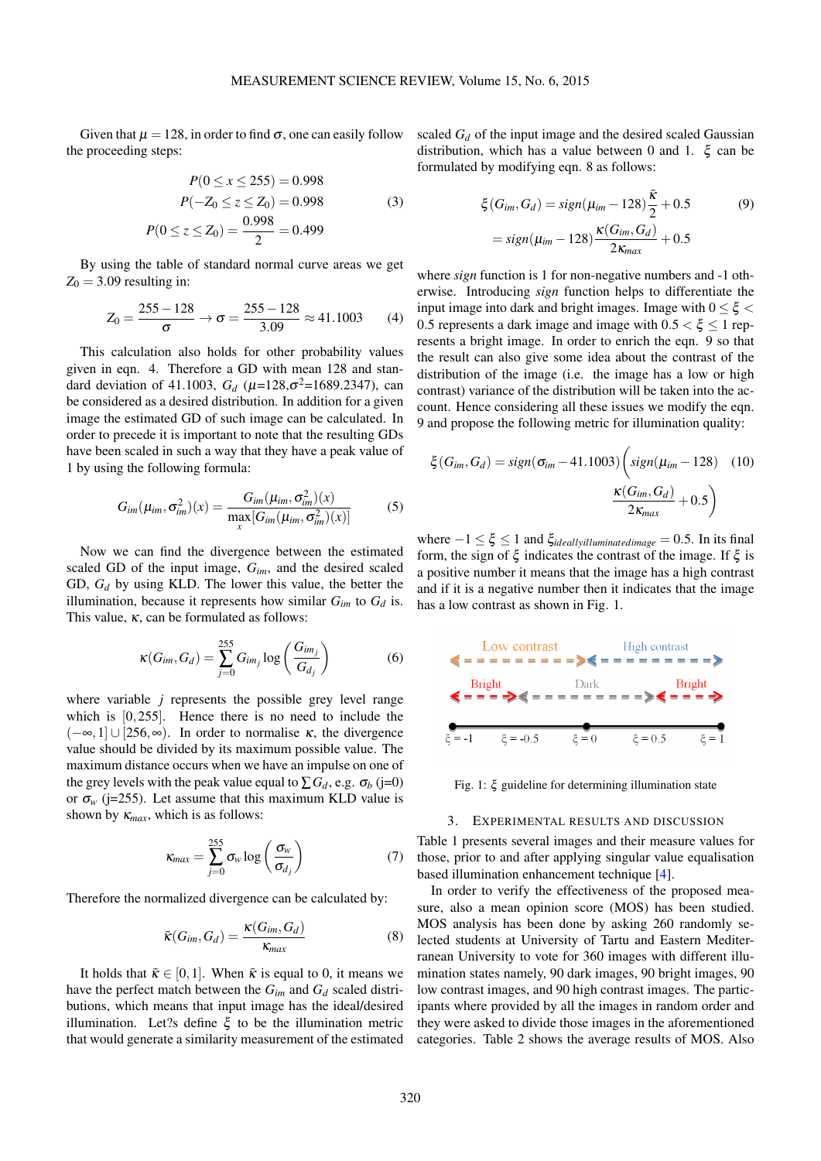Given that  $\mu = 128$ , in order to find  $\sigma$ , one can easily follow the proceeding steps:

$$
P(0 \le x \le 255) = 0.998
$$
  
\n
$$
P(-Z_0 \le z \le Z_0) = 0.998
$$
  
\n
$$
P(0 \le z \le Z_0) = \frac{0.998}{2} = 0.499
$$
 (3)

By using the table of standard normal curve areas we get  $Z_0 = 3.09$  resulting in:

$$
Z_0 = \frac{255 - 128}{\sigma} \to \sigma = \frac{255 - 128}{3.09} \approx 41.1003
$$
 (4)

This calculation also holds for other probability values given in eqn. [4.](#page-1-0) Therefore a GD with mean 128 and standard deviation of 41.1003,  $G_d$  ( $\mu$ =128, $\sigma$ <sup>2</sup>=1689.2347), can be considered as a desired distribution. In addition for a given image the estimated GD of such image can be calculated. In order to precede it is important to note that the resulting GDs have been scaled in such a way that they have a peak value of 1 by using the following formula:

$$
G_{im}(\mu_{im}, \sigma_{im}^2)(x) = \frac{G_{im}(\mu_{im}, \sigma_{im}^2)(x)}{\max\limits_{x} [G_{im}(\mu_{im}, \sigma_{im}^2)(x)]}
$$
(5)

Now we can find the divergence between the estimated scaled GD of the input image, *Gim*, and the desired scaled GD, *G<sup>d</sup>* by using KLD. The lower this value, the better the illumination, because it represents how similar  $G_{im}$  to  $G_d$  is. This value,  $\kappa$ , can be formulated as follows:

$$
\kappa(G_{im}, G_d) = \sum_{j=0}^{255} G_{im_j} \log \left( \frac{G_{im_j}}{G_{d_j}} \right) \tag{6}
$$

where variable *j* represents the possible grey level range which is [0,255]. Hence there is no need to include the  $(-\infty, 1]$  ∪ [256, $\infty$ ). In order to normalise  $\kappa$ , the divergence value should be divided by its maximum possible value. The maximum distance occurs when we have an impulse on one of the grey levels with the peak value equal to  $\sum G_d$ , e.g.  $\sigma_b$  (j=0) or  $\sigma_w$  (j=255). Let assume that this maximum KLD value is shown by  $\kappa_{max}$ , which is as follows:

$$
\kappa_{max} = \sum_{j=0}^{255} \sigma_w \log \left( \frac{\sigma_w}{\sigma_{d_j}} \right) \tag{7}
$$

Therefore the normalized divergence can be calculated by:

$$
\bar{\kappa}(G_{im}, G_d) = \frac{\kappa(G_{im}, G_d)}{\kappa_{max}} \tag{8}
$$

It holds that  $\bar{\kappa} \in [0,1]$ . When  $\bar{\kappa}$  is equal to 0, it means we have the perfect match between the  $G_{im}$  and  $G_d$  scaled distributions, which means that input image has the ideal/desired illumination. Let?s define  $\xi$  to be the illumination metric that would generate a similarity measurement of the estimated scaled  $G_d$  of the input image and the desired scaled Gaussian distribution, which has a value between 0 and 1. ξ can be formulated by modifying eqn. [8](#page-1-1) as follows:

<span id="page-1-2"></span>
$$
\xi(G_{im}, G_d) = sign(\mu_{im} - 128) \frac{\bar{\kappa}}{2} + 0.5
$$
\n
$$
= sign(\mu_{im} - 128) \frac{\kappa(G_{im}, G_d)}{2\kappa_{max}} + 0.5
$$
\n(9)

<span id="page-1-0"></span>where *sign* function is 1 for non-negative numbers and -1 otherwise. Introducing *sign* function helps to differentiate the input image into dark and bright images. Image with  $0 \leq \xi$ 0.5 represents a dark image and image with  $0.5 < \xi < 1$  represents a bright image. In order to enrich the eqn. [9](#page-1-2) so that the result can also give some idea about the contrast of the distribution of the image (i.e. the image has a low or high contrast) variance of the distribution will be taken into the account. Hence considering all these issues we modify the eqn. [9](#page-1-2) and propose the following metric for illumination quality:

<span id="page-1-4"></span>
$$
\xi(G_{im}, G_d) = sign(\sigma_{im} - 41.1003) \left( sign(\mu_{im} - 128) \quad (10)
$$

$$
\frac{\kappa(G_{im}, G_d)}{2\kappa_{max}} + 0.5 \right)
$$

where  $-1 \leq \xi \leq 1$  and  $\xi_{ideallyilluminated image} = 0.5$ . In its final form, the sign of  $\xi$  indicates the contrast of the image. If  $\xi$  is a positive number it means that the image has a high contrast and if it is a negative number then it indicates that the image has a low contrast as shown in Fig. [1.](#page-1-3)

<span id="page-1-3"></span>

Fig. 1: ξ guideline for determining illumination state

#### 3. EXPERIMENTAL RESULTS AND DISCUSSION

Table [1](#page-2-6) presents several images and their measure values for those, prior to and after applying singular value equalisation based illumination enhancement technique [\[4\]](#page-2-3).

<span id="page-1-1"></span>In order to verify the effectiveness of the proposed measure, also a mean opinion score (MOS) has been studied. MOS analysis has been done by asking 260 randomly selected students at University of Tartu and Eastern Mediterranean University to vote for 360 images with different illumination states namely, 90 dark images, 90 bright images, 90 low contrast images, and 90 high contrast images. The participants where provided by all the images in random order and they were asked to divide those images in the aforementioned categories. Table [2](#page-3-8) shows the average results of MOS. Also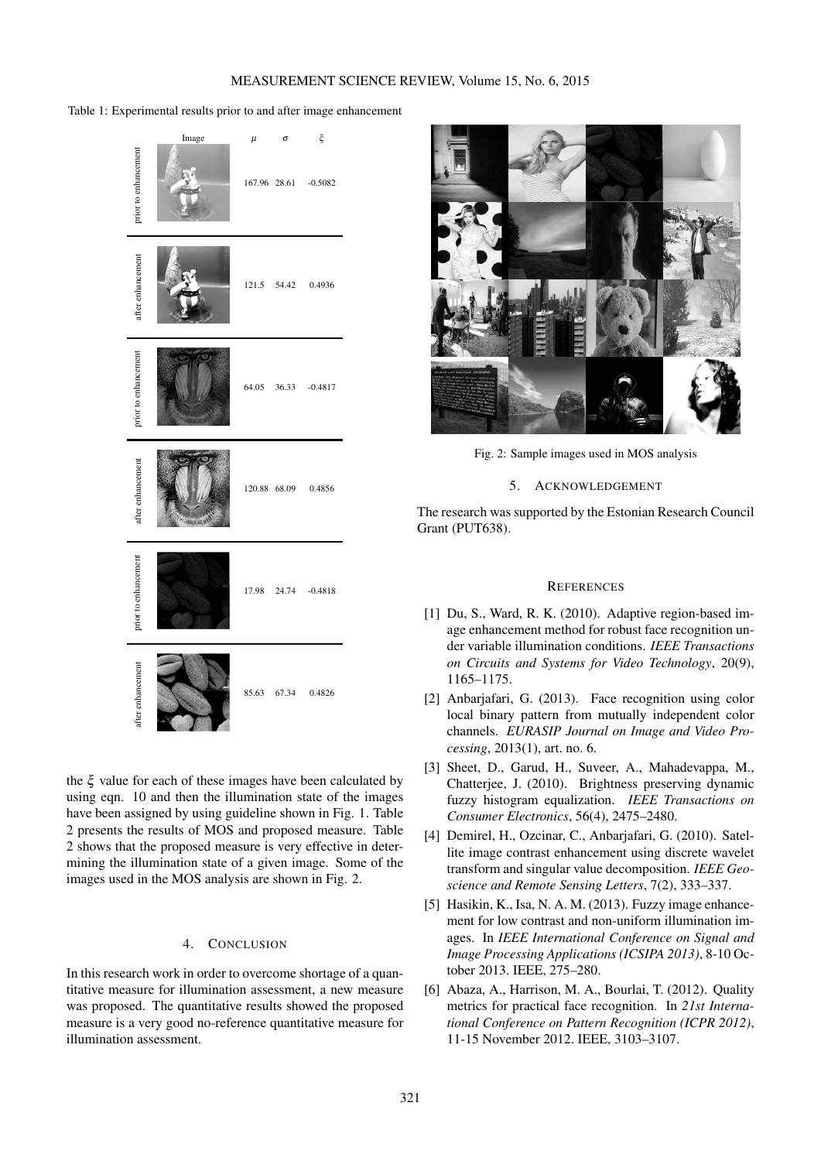<span id="page-2-6"></span>Table 1: Experimental results prior to and after image enhancement



the ξ value for each of these images have been calculated by using eqn. [10](#page-1-4) and then the illumination state of the images have been assigned by using guideline shown in Fig. [1.](#page-1-3) Table [2](#page-3-8) presents the results of MOS and proposed measure. Table [2](#page-3-8) shows that the proposed measure is very effective in determining the illumination state of a given image. Some of the images used in the MOS analysis are shown in Fig. [2.](#page-2-7)

## 4. CONCLUSION

In this research work in order to overcome shortage of a quantitative measure for illumination assessment, a new measure was proposed. The quantitative results showed the proposed measure is a very good no-reference quantitative measure for illumination assessment.

<span id="page-2-7"></span>

Fig. 2: Sample images used in MOS analysis

#### 5. ACKNOWLEDGEMENT

The research was supported by the Estonian Research Council Grant (PUT638).

#### **REFERENCES**

- <span id="page-2-0"></span>[1] Du, S., Ward, R. K. (2010). Adaptive region-based image enhancement method for robust face recognition under variable illumination conditions. *IEEE Transactions on Circuits and Systems for Video Technology*, 20(9), 1165–1175.
- <span id="page-2-1"></span>[2] Anbarjafari, G. (2013). Face recognition using color local binary pattern from mutually independent color channels. *EURASIP Journal on Image and Video Processing*, 2013(1), art. no. 6.
- <span id="page-2-2"></span>[3] Sheet, D., Garud, H., Suveer, A., Mahadevappa, M., Chatterjee, J. (2010). Brightness preserving dynamic fuzzy histogram equalization. *IEEE Transactions on Consumer Electronics*, 56(4), 2475–2480.
- <span id="page-2-3"></span>[4] Demirel, H., Ozcinar, C., Anbarjafari, G. (2010). Satellite image contrast enhancement using discrete wavelet transform and singular value decomposition. *IEEE Geoscience and Remote Sensing Letters*, 7(2), 333–337.
- <span id="page-2-4"></span>[5] Hasikin, K., Isa, N. A. M. (2013). Fuzzy image enhancement for low contrast and non-uniform illumination images. In *IEEE International Conference on Signal and Image Processing Applications (ICSIPA 2013)*, 8-10 October 2013. IEEE, 275–280.
- <span id="page-2-5"></span>[6] Abaza, A., Harrison, M. A., Bourlai, T. (2012). Quality metrics for practical face recognition. In *21st International Conference on Pattern Recognition (ICPR 2012)*, 11-15 November 2012. IEEE, 3103–3107.